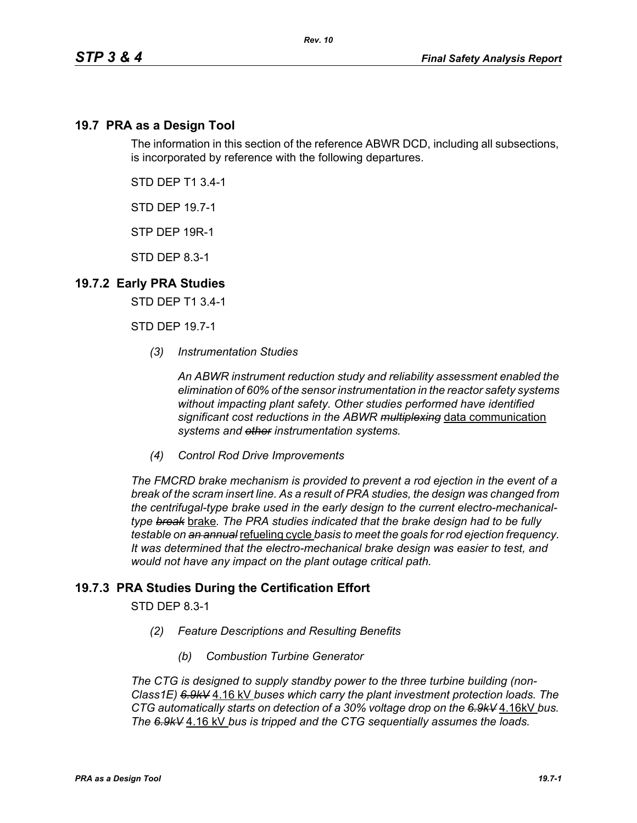## **19.7 PRA as a Design Tool**

The information in this section of the reference ABWR DCD, including all subsections, is incorporated by reference with the following departures.

STD DEP T1 3.4-1

STD DEP 19.7-1

STP DEP 19R-1

STD DEP 8.3-1

## **19.7.2 Early PRA Studies**

STD DEP T1 3.4-1

STD DEP 19.7-1

*(3) Instrumentation Studies*

*An ABWR instrument reduction study and reliability assessment enabled the elimination of 60% of the sensor instrumentation in the reactor safety systems without impacting plant safety. Other studies performed have identified significant cost reductions in the ABWR multiplexing* data communication *systems and other instrumentation systems.*

*(4) Control Rod Drive Improvements* 

*The FMCRD brake mechanism is provided to prevent a rod ejection in the event of a break of the scram insert line. As a result of PRA studies, the design was changed from the centrifugal-type brake used in the early design to the current electro-mechanicaltype break* brake*. The PRA studies indicated that the brake design had to be fully testable on an annual* refueling cycle *basis to meet the goals for rod ejection frequency. It was determined that the electro-mechanical brake design was easier to test, and would not have any impact on the plant outage critical path.*

## **19.7.3 PRA Studies During the Certification Effort**

STD DEP 8.3-1

- *(2) Feature Descriptions and Resulting Benefits* 
	- *(b) Combustion Turbine Generator*

*The CTG is designed to supply standby power to the three turbine building (non-Class1E) 6.9kV* 4.16 kV *buses which carry the plant investment protection loads. The CTG automatically starts on detection of a 30% voltage drop on the 6.9kV* 4.16kV *bus. The 6.9kV* 4.16 kV *bus is tripped and the CTG sequentially assumes the loads.*